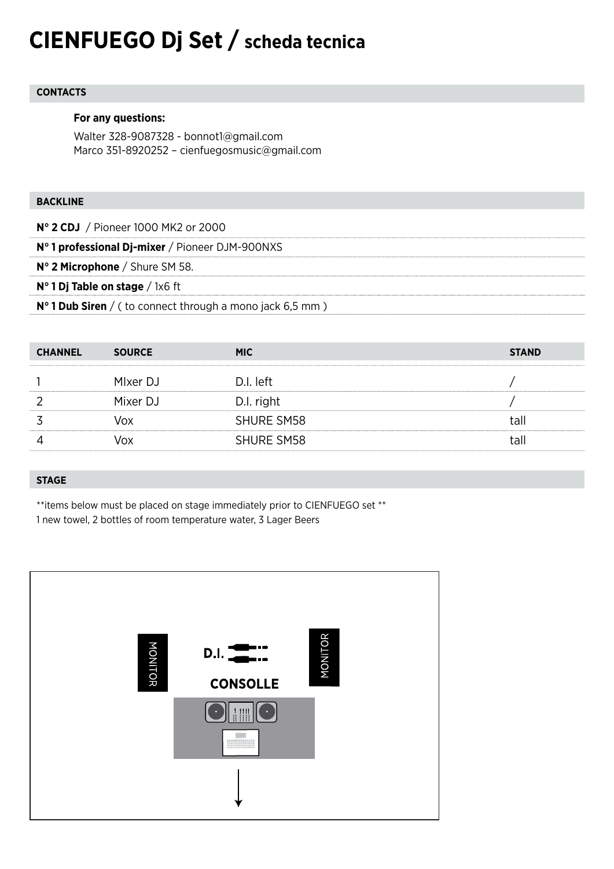# **CIENFUEGO Dj Set / scheda tecnica**

# **CONTACTS**

# **For any questions:**

Walter 328-9087328 - bonnot1@gmail.com Marco 351-8920252 – cienfuegosmusic@gmail.com

# **BACKLINE**

**N° 2 CDJ** / Pioneer 1000 MK2 or 2000 **N° 1 professional Dj-mixer** / Pioneer DJM-900NXS **N° 2 Microphone** / Shure SM 58. **N° 1 Dj Table on stage** / 1x6 ft **N° 1 Dub Siren** / ( to connect through a mono jack 6,5 mm )

| <b>CHANNEL</b> | <b>SOURCE</b> | <b>MIC</b>        | <b>STAND</b> |
|----------------|---------------|-------------------|--------------|
|                | MIxer DJ      | D.I. left         |              |
|                | Mixer DJ      | D.I. right        |              |
|                | vox           | <b>SHURE SM58</b> | tall         |
|                | Jox           | <b>SHURE SM58</b> | tall         |

## **STAGE**

\*\*items below must be placed on stage immediately prior to CIENFUEGO set \*\* 1 new towel, 2 bottles of room temperature water, 3 Lager Beers